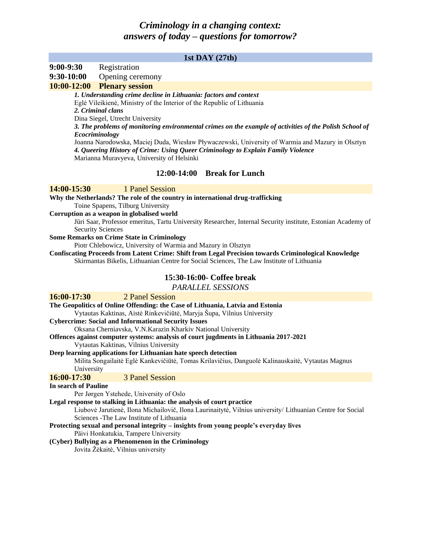# *Criminology in a changing context: answers of today – questions for tomorrow?*

## **1st DAY (27th)**

### **9:00-9:30** Registration

#### **9:30-10:00** Opening ceremony

#### **10:00-12:00 Plenary session**

*1. Understanding crime decline in Lithuania: factors and context* Eglė Vileikienė, Ministry of the Interior of the Republic of Lithuania *2. Criminal clans* Dina Siegel, Utrecht University *3. The problems of monitoring environmental crimes on the example of activities of the Polish School of Ecocriminology* Joanna Narodowska, Maciej Duda, Wiesław Pływaczewski, University of Warmia and Mazury in Olsztyn *4. Queering History of Crime: Using Queer Criminology to Explain Family Violence* Marianna Muravyeva, University of Helsinki

# **12:00-14:00 Break for Lunch**

## **14:00-15:30** 1 Panel Session

**Why the Netherlands? The role of the country in international drug-trafficking** Toine Spapens, Tilburg University

**Corruption as a weapon in globalised world**

Jüri Saar, Professor emeritus, Tartu University Researcher, Internal Security institute, Estonian Academy of Security Sciences

#### **Some Remarks on Crime State in Criminology**

Piotr Chlebowicz, University of Warmia and Mazury in Olsztyn

**Confiscating Proceeds from Latent Crime: Shift from Legal Precision towards Criminological Knowledge** Skirmantas Bikelis, Lithuanian Centre for Social Sciences, The Law Institute of Lithuania

### **15:30-16:00- Coffee break**

*PARALLEL SESSIONS*

| <b>16:00-17:30</b> 2 Panel Session                                                                         |  |  |  |
|------------------------------------------------------------------------------------------------------------|--|--|--|
| The Geopolitics of Online Offending: the Case of Lithuania, Latvia and Estonia                             |  |  |  |
| Vytautas Kaktinas, Aistė Rinkevičiūtė, Maryja Šupa, Vilnius University                                     |  |  |  |
| <b>Cybercrime: Social and Informational Security Issues</b>                                                |  |  |  |
| Oksana Cherniavska, V.N. Karazin Kharkiv National University                                               |  |  |  |
| Offences against computer systems: analysis of court jugdments in Lithuania 2017-2021                      |  |  |  |
| Vytautas Kaktinas, Vilnius University                                                                      |  |  |  |
| Deep learning applications for Lithuanian hate speech detection                                            |  |  |  |
| Milita Songailaitė Eglė Kankevičiūtė, Tomas Krilavičius, Danguolė Kalinauskaitė, Vytautas Magnus           |  |  |  |
| University                                                                                                 |  |  |  |
| 16:00-17:30<br><b>3 Panel Session</b>                                                                      |  |  |  |
|                                                                                                            |  |  |  |
| In search of Pauline                                                                                       |  |  |  |
| Per Jørgen Ystehede, University of Oslo                                                                    |  |  |  |
| Legal response to stalking in Lithuania: the analysis of court practice                                    |  |  |  |
| Liubovė Jarutienė, Ilona Michailovič, Ilona Laurinaitytė, Vilnius university/ Lithuanian Centre for Social |  |  |  |
| Sciences - The Law Institute of Lithuania                                                                  |  |  |  |
| Protecting sexual and personal integrity – insights from young people's everyday lives                     |  |  |  |
| Päivi Honkatukia, Tampere University                                                                       |  |  |  |
| (Cyber) Bullying as a Phenomenon in the Criminology                                                        |  |  |  |